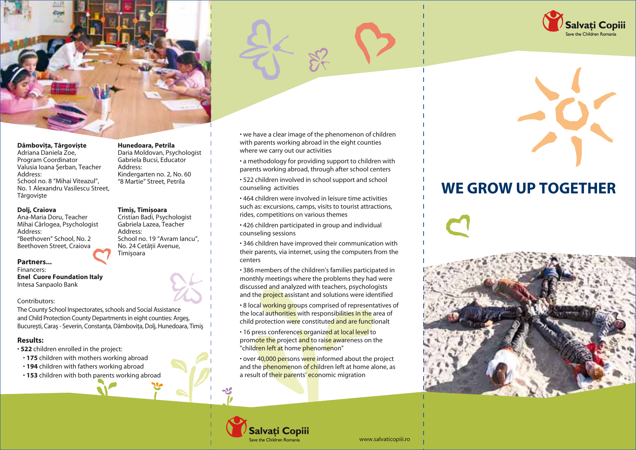



#### **Dâmbovita, Târgoviste**

**What...** Adriana Daniela Zoe, Program Coordinator Frogram Coordinator Education Coordinator valusia lo.<br>Address: **Why...** No. 1 Alexandru Vasilescu Street, Târgovişte of the projective of the projective of the projective of the project is to diminish the projective Valusia Ioana Şerban, Teacher School no. 8 "Mihai Viteazul",

## their parents' economic migration. **Dolj, Craiova**

**Specific objectives** Address: "Beethoven" School, No. 2 School no. 19 "A Beethoven Street, Craiova **countries.** No. 24 Cetății Ana-Maria Doru, Teacher Mihai Cârlogea, Psychologist

### **Partners... Partners...**

Financers: **Enel Cuore Foundation Italy** Intesa Sanpaolo Bank

#### permanent communication with parents from abroad. Contributors:

 $\mathsf{M}\mathsf{M}\mathsf{M}$  and  $\mathsf{M}\mathsf{M}$  and counseling probability programs for an and counseling probability  $\mathsf{M}\mathsf{M}$ The County School Inspectorates, schools and Social Assistance and Child Protection County Departments in eight counties: Argeş, Bucureşti, Caraş - Severin, Constanţa, Dâmboviţa, Dolj, Hunedoara, Timiş

# **For whom... Results:**

- **522** children enrolled in the project:
- $\epsilon$  commentation control and project. • **175** children with mothers working abroad
- **194** children with fathers working abroad
- **153** children with both parents working abroad

#### **Hunedoara, Petrila**

Daria Moldovan, Psychologist Gabriela Bucsi, Educator Address: Kindergarten no. 2, No. 60 "8 Martie" Street, Petrila

#### negative impact on Romanian children generated by **Timi§, Timi§oara**

2. To create several programs and programs and programs and programs and programs and  $\alpha$ Cristian Badi, Psychologist Gabriela Lazea, Teacher Address: School no. 19 "Avram Iancu", No. 24 Cetății Avenue, **Timisoara** 

**How…** with parents working abroad in the eight counties • we have a clear image of the phenomenon of children where we carry out our activities

• a methodology for providing support to children with parents working abroad, through after school centers

• 522 children involved in school support and school counseling activities.

• 464 children were involved in leisure time activities such as: excursions, camps, visits to tourist attractions, rides, competitions on various themes

• 426 children participated in group and individual counseling sessions with children with children with children with children with children with children with chi

• 346 children have improved their communication with their parents, via internet, using the computers from the where the daily activities with an and for children. The children children and for children.

• 386 members of the children's families participated in monthly meetings where the problems they had were discussed and analyzed with teachers, psychologists and the <mark>project a</mark>ssistant and solutions were identified

**The local working groups comprised of representatives** of the local authorities with responsibilities in the area of attractions, and the distributions of the competition of the distribution of the distribution of the distribution of the distribution of the distribution of the distribution of the distribution of the distribution of the d child protection w<mark>er</mark>e constitute<mark>d and are funct</mark>ionalt • 8 local working groups comprised of representatives of

• 16 press conference<mark>s or</mark>ganize<mark>d at local level</mark> to promote the project and to raise awareness on the "children left at home phenomenon"

• over 40,000 persons were informed about the project and the phenomenon of children left at home alone, as a result of their parents' economic migration



## $\mathbf{u} = \mathbf{v} \cdot \mathbf{v}$ WE GROW UP TOGETHER

 $\blacksquare$ activities to raise awareness on the phenomenon of children left at home alone due to their parents' economic